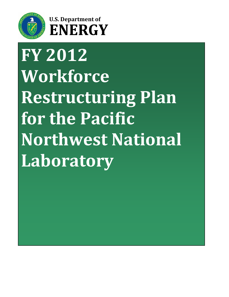

# **U.S. Department of ENERGY**

# <span id="page-0-0"></span>**FY 2012 Workforce Restructuring Plan for the Pacific Northwest National Laboratory**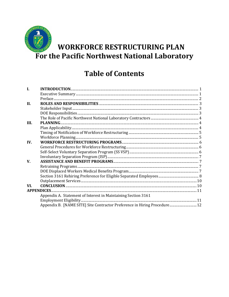

# **Table of Contents**

| I.   |                                                                           |  |
|------|---------------------------------------------------------------------------|--|
|      |                                                                           |  |
|      |                                                                           |  |
| II.  |                                                                           |  |
|      |                                                                           |  |
|      |                                                                           |  |
|      |                                                                           |  |
| III. |                                                                           |  |
|      |                                                                           |  |
|      |                                                                           |  |
|      |                                                                           |  |
| IV.  |                                                                           |  |
|      |                                                                           |  |
|      |                                                                           |  |
|      |                                                                           |  |
| V.   |                                                                           |  |
|      |                                                                           |  |
|      |                                                                           |  |
|      |                                                                           |  |
|      |                                                                           |  |
| VI.  |                                                                           |  |
|      |                                                                           |  |
|      | Appendix A. Statement of Interest in Maintaining Section 3161             |  |
|      |                                                                           |  |
|      | Appendix B. [NAME SITE] Site Contractor Preference in Hiring Procedure 12 |  |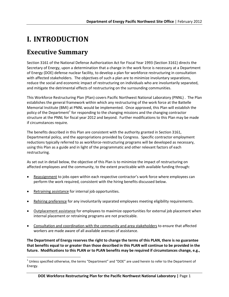# <span id="page-2-0"></span>**I. INTRODUCTION**

# <span id="page-2-1"></span>**Executive Summary**

Section 3161 of the National Defense Authorization Act for Fiscal Year 1993 (Section 3161) directs the Secretary of Energy, upon a determination that a change in the work force is necessary at a Department of Energy (DOE) defense nuclear facility, to develop a plan for workforce restructuring in consultation with affected stakeholders. The objectives of such a plan are to minimize involuntary separations, reduce the social and economic impact of restructuring on individuals who are involuntarily separated, and mitigate the detrimental effects of restructuring on the surrounding communities.

This Workforce Restructuring Plan (Plan) covers Pacific Northwest National Laboratory (PNNL) . The Plan establishes the general framework within which any restructuring of the work force at the Battelle Memorial Institute (BMI) at PNNL would be implemented. Once approved, this Plan will establish the policy of the Department<sup>[1](#page-2-2)</sup> for responding to the changing missions and the changing contractor structure at the PNNL for fiscal year 2012 and beyond. Further modifications to this Plan may be made if circumstances require.

The benefits described in this Plan are consistent with the authority granted in Section 3161, Departmental policy, and the appropriations provided by Congress. Specific contractor employment reductions typically referred to as workforce-restructuring programs will be developed as necessary, using this Plan as a guide and in light of the programmatic and other relevant factors of each restructuring.

As set out in detail below, the objective of this Plan is to minimize the impact of restructuring on affected employees and the community, to the extent practicable with available funding through:

- Reassignment to jobs open within each respective contractor's work force where employees can perform the work required, consistent with the hiring benefits discussed below.
- Retraining assistance for internal job opportunities.
- Rehiring preference for any involuntarily separated employees meeting eligibility requirements.
- Outplacement assistance for employees to maximize opportunities for external job placement when internal placement or retraining programs are not practicable.
- Consultation and coordination with the community and area stakeholders to ensure that affected workers are made aware of all available avenues of assistance.

**The Department of Energy reserves the right to change the terms of this PLAN, there is no guarantee that benefits equal to or greater than those described in this PLAN will continue to be provided in the future. Modifications to this PLAN or to PLAN benefits may be required if circumstances change, e.g.,** 

<span id="page-2-2"></span> $1$  Unless specified otherwise, the terms "Department" and "DOE" are used herein to refer to the Department of Energy.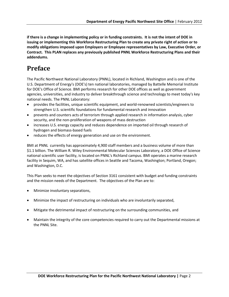**if there is a change in implementing policy or in funding constraints. It is not the intent of DOE in issuing or implementing this Workforce Restructuring Plan to create any private right of action or to modify obligations imposed upon Employers or Employee representatives by Law, Executive Order, or Contract. This PLAN replaces any previously published PNNL Workforce Restructuring Plans and their addendums.** 

## <span id="page-3-0"></span>**Preface**

The Pacific Northwest National Laboratory (PNNL), located in Richland, Washington and is one of the U.S. Department of Energy's (DOE's) ten national laboratories, managed by Battelle Memorial Institute for DOE's Office of Science. BMI performs research for other DOE offices as well as government agencies, universities, and industry to deliver breakthrough science and technology to meet today's key national needs. The PNNL Laboratory:

- provides the facilities, unique scientific equipment, and world-renowned scientists/engineers to strengthen U.S. scientific foundations for fundamental research and innovation
- prevents and counters acts of terrorism through applied research in information analysis, cyber security, and the non-proliferation of weapons of mass destruction
- increases U.S. energy capacity and reduces dependence on imported oil through research of hydrogen and biomass-based fuels
- reduces the effects of energy generation and use on the environment.

BMI at PNNL currently has approximately 4,900 staff members and a business volume of more than \$1.1 billion. The William R. Wiley Environmental Molecular Sciences Laboratory, a DOE Office of Science national scientific user facility, is located on PNNL's Richland campus. BMI operates a marine research facility in Sequim, WA, and has satellite offices in Seattle and Tacoma, Washington; Portland, Oregon; and Washington, D.C.

This Plan seeks to meet the objectives of Section 3161 consistent with budget and funding constraints and the mission needs of the Department. The objectives of the Plan are to:

- Minimize involuntary separations,
- Minimize the impact of restructuring on individuals who are involuntarily separated,
- Mitigate the detrimental impact of restructuring on the surrounding communities, and
- Maintain the integrity of the core competencies required to carry out the Departmental missions at the PNNL Site.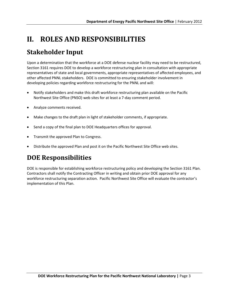# <span id="page-4-0"></span>**II. ROLES AND RESPONSIBILITIES**

# <span id="page-4-1"></span>**Stakeholder Input**

Upon a determination that the workforce at a DOE defense nuclear facility may need to be restructured, Section 3161 requires DOE to develop a workforce restructuring plan in consultation with appropriate representatives of state and local governments, appropriate representatives of affected employees, and other affected PNNL stakeholders. DOE is committed to ensuring stakeholder involvement in developing policies regarding workforce restructuring for the PNNL and will:

- Notify stakeholders and make this draft workforce restructuring plan available on the Pacific Northwest Site Office (PNSO) web sites for at least a 7-day comment period.
- Analyze comments received.
- Make changes to the draft plan in light of stakeholder comments, if appropriate.
- Send a copy of the final plan to DOE Headquarters offices for approval.
- Transmit the approved Plan to Congress.
- Distribute the approved Plan and post it on the Pacific Northwest Site Office web sites.

# <span id="page-4-2"></span>**DOE Responsibilities**

DOE is responsible for establishing workforce restructuring policy and developing the Section 3161 Plan. Contractors shall notify the Contracting Officer in writing and obtain prior DOE approval for any workforce restructuring separation action. Pacific Northwest Site Office will evaluate the contractor's implementation of this Plan.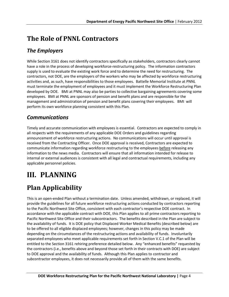# <span id="page-5-0"></span>**The Role of PNNL Contractors**

#### *The Employers*

While Section 3161 does not identify contractors specifically as stakeholders, contractors clearly cannot have a role in the process of developing workforce-restructuring policy. The information contractors supply is used to evaluate the existing work force and to determine the need for restructuring. The contractors, not DOE, are the employers of the workers who may be affected by workforce restructuring activities and, as such, have responsibilities to those employees. Battelle Memorial Institute at PNNL must terminate the employment of employees and it must implement the Workforce Restructuring Plan developed by DOE. BMI at PNNL may also be parties to collective bargaining agreements covering some employees. BMI at PNNL are sponsors of pension and benefit plans and are responsible for the management and administration of pension and benefit plans covering their employees. BMI will perform its own workforce planning consistent with this Plan.

#### *Communications*

Timely and accurate communication with employees is essential. Contractors are expected to comply in all respects with the requirements of any applicable DOE Orders and guidelines regarding announcement of workforce restructuring actions. No communications will occur until approval is received from the Contracting Officer. Once DOE approval is received, Contractors are expected to communicate information regarding workforce restructuring to the employees before releasing any information to the news media. Contractors will ensure that all information intended for release to internal or external audiences is consistent with all legal and contractual requirements, including any applicable personnel policies.

# <span id="page-5-1"></span>**III. PLANNING**

# <span id="page-5-2"></span>**Plan Applicability**

This is an open-ended Plan without a termination date. Unless amended, withdrawn, or replaced, it will provide the guidelines for all future workforce restructuring actions conducted by contractors reporting to the Pacific Northwest Site Office, consistent with each contractor's respective DOE contract. In accordance with the applicable contract with DOE, this Plan applies to all prime contractors reporting to Pacific Northwest Site Office and their subcontractors. The benefits described in the Plan are subject to the availability of funds. It is DOE policy that Displaced Worker Medical Benefits (described below) are to be offered to all eligible displaced employees; however, changes in this policy may be made depending on the circumstances of the restructuring actions and availability of funds. Involuntarily separated employees who meet applicable requirements set forth in Section V.C.1 of the Plan will be entitled to the Section 3161 rehiring preference detailed below. Any "enhanced benefits" requested by the contractors (i.e., benefits above and beyond those set forth in their contracts with DOE) are subject to DOE approval and the availability of funds. Although this Plan applies to contractor and subcontractor employees, it does not necessarily provide all of them with the same benefits.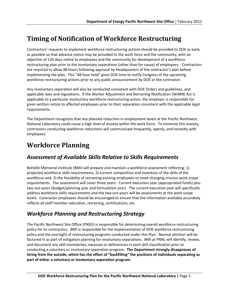## <span id="page-6-0"></span>**Timing of Notification of Workforce Restructuring**

Contractors' requests to implement workforce restructuring actions should be provided to DOE as early as possible so that advance notice may be provided to the work force and the community, with an objective of 120 days notice to employees and the community for development of a workforce restructuring plan prior to the involuntary separations (other than for cause) of employees. Contractors are required to allow 48-hours following approval by Headquarters of the contractor's plan before implementing the plan. This "48 hour hold" gives DOE time to notify Congress of the upcoming workforce restructuring actions prior to any public announcement by DOE or the contractor.

Any involuntary separation will also be conducted consistent with DOE Orders and guidelines, and applicable laws and regulations. If the Worker Adjustment and Retraining Notification (WARN) Act is applicable to a particular involuntary workforce restructuring action, the employer is responsible for given written notice to affected employees prior to their separation consistent with the applicable legal requirements.

The Department recognizes that any planned reduction in employment levels at the Pacific Northwest National Laboratory could cause a high level of anxiety within the work force. To minimize this anxiety, contractors conducting workforce reductions will communicate frequently, openly, and honestly with employees.

## <span id="page-6-1"></span>**Workforce Planning**

#### *Assessment of Available Skills Relative to Skills Requirements*

Battelle Memorial Institute (BMI) will prepare and maintain a workforce assessment reflecting: 1) projected workforce skills requirements, 2) current composition and inventory of the skills of the workforce and, 3) the feasibility of retraining existing employees to meet changing mission work scope requirements. The assessment will cover three years: Current execution year (appropriated funds) plus two out-years (budget/planning year and formulation year). The current execution year will specifically address workforce skills requirements and the two out-years will be assessments at the work scope levels. Contractor employees should be encouraged to ensure that the information available accurately reflects all staff member education, retraining, certifications, etc.

#### *Workforce Planning and Restructuring Strategy*

The Pacific Northwest Site Office (PNSO) is responsible for determining overall workforce restructuring policy for its contractors. BMI is responsible for the implementation of DOE workforce restructuring policy and the oversight of restructuring programs conducted under this Plan. Normal attrition will be factored in as part of mitigation planning for involuntary separations. BMI at PNNL will identify, review, and document any skill mismatches, excesses or deficiencies in each skill classification prior to conducting a voluntary or involuntary separation program. **The Department strongly disapproves of hiring from the outside, which has the effect of "backfilling" the positions of individuals separating as part of either a voluntary or involuntary separation program.**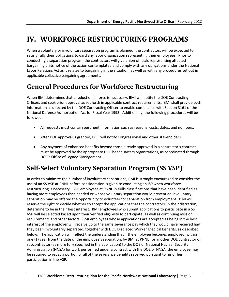# <span id="page-7-0"></span>**IV. WORKFORCE RESTRUCTURING PROGRAMS**

When a voluntary or involuntary separation program is planned, the contractors will be expected to satisfy fully their obligations toward any labor organization representing their employees. Prior to conducting a separation program, the contractors will give union officials representing affected bargaining units notice of the action contemplated and comply with any obligations under the National Labor Relations Act as it relates to bargaining in the situation, as well as with any procedures set out in applicable collective bargaining agreements.

# <span id="page-7-1"></span>**General Procedures for Workforce Restructuring**

When BMI determines that a reduction in force is necessary, BMI will notify the DOE Contracting Officers and seek prior approval as set forth in applicable contract requirements. BMI shall provide such information as directed by the DOE Contracting Officer to enable compliance with Section 3161 of the National Defense Authorization Act for Fiscal Year 1993. Additionally, the following procedures will be followed:

- All requests must contain pertinent information such as reasons, costs, dates, and numbers.
- After DOE approval is granted, DOE will notify Congressional and other stakeholders.
- Any payment of enhanced benefits beyond those already approved in a contractor's contract must be approved by the appropriate DOE headquarters organizations, as coordinated through DOE's Office of Legacy Management.

# **Self-Select Voluntary Separation Program (SS VSP)**

In order to minimize the number of involuntary separations, BMI is strongly encouraged to consider the use of an SS VSP at PNNL before consideration is given to conducting an ISP when workforce restructuring is necessary. BMI employees at PNNL in skills classifications that have been identified as having more employees than needed or whose voluntary separation would prevent an involuntary separation may be offered the opportunity to volunteer for separation from employment. BMI will reserve the right to decide whether to accept the applications that the contractors, in their discretion, determine to be in their best interest. BMI employees who submit applications to participate in a SS VSP will be selected based upon their verified eligibility to participate, as well as continuing mission requirements and other factors. BMI employees whose applications are accepted as being in the best interest of the employer will receive up to the same severance pay which they would have received had they been involuntarily separated, together with DOE Displaced Worker Medical Benefits, as described below. The application will reflect the understanding that if the employee becomes employed, within one (1) year from the date of the employee's separation, by BMI at PNNL or another DOE contractor or subcontractor (as more fully specified in the application) to the DOE or National Nuclear Security Administration (NNSA) for work performed under a contract with the DOE or NNSA, the employee may be required to repay a portion or all of the severance benefits received pursuant to his or her participation in the VSP.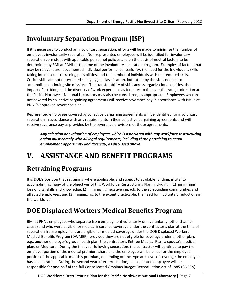# **Involuntary Separation Program (ISP)**

If it is necessary to conduct an involuntary separation, efforts will be made to minimize the number of employees involuntarily separated. Non-represented employees will be identified for involuntary separation consistent with applicable personnel policies and on the basis of neutral factors to be determined by BMI at PNNL at the time of the involuntary separation program. Examples of factors that may be relevant are: documented individual performance, seniority, the need for the individual's skills taking into account retraining possibilities, and the number of individuals with the required skills. Critical skills are not determined solely by job classification, but rather by the skills needed to accomplish continuing site missions. The transferability of skills across organizational entities, the impact of attrition, and the diversity of work experience as it relates to the overall strategic direction at the Pacific Northwest National Laboratory may also be considered, as appropriate. Employees who are not covered by collective bargaining agreements will receive severance pay in accordance with BMI's at PNNL's approved severance plan.

Represented employees covered by collective bargaining agreements will be identified for involuntary separation in accordance with any requirements in their collective bargaining agreements and will receive severance pay as provided by the severance provisions of those agreements.

*Any selection or evaluation of employees which is associated with any workforce restructuring action must comply with all legal requirements, including those pertaining to equal employment opportunity and diversity, as discussed above.*

# <span id="page-8-0"></span>**V. ASSISTANCE AND BENEFIT PROGRAMS**

# <span id="page-8-1"></span>**Retraining Programs**

It is DOE's position that retraining, where applicable, and subject to available funding, is vital to accomplishing many of the objectives of this Workforce Restructuring Plan, including: (1) minimizing loss of vital skills and knowledge, (2) minimizing negative impacts to the surrounding communities and affected employees, and (3) minimizing, to the extent practicable, the need for involuntary reductions in the workforce.

# <span id="page-8-2"></span>**DOE Displaced Workers Medical Benefits Program**

BMI at PNNL employees who separate from employment voluntarily or involuntarily (other than for cause) and who were eligible for medical insurance coverage under the contractor's plan at the time of separation from employment are eligible for medical coverage under the DOE Displaced Workers Medical Benefits Program (DWMBP), provided they are not eligible for coverage under another plan, e.g., another employer's group health plan, the contractor's Retiree Medical Plan, a spouse's medical plan, or Medicare. During the first year following separation, the contractor will continue to pay the employer portion of the medical premium share and the employee will be billed for the employee portion of the applicable monthly premium, depending on the type and level of coverage the employee has at separation. During the second year after termination, the separated employee will be responsible for one-half of the full Consolidated Omnibus Budget Reconciliation Act of 1985 (COBRA)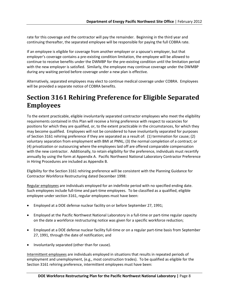rate for this coverage and the contractor will pay the remainder. Beginning in the third year and continuing thereafter, the separated employee will be responsible for paying the full COBRA rate.

If an employee is eligible for coverage from another employer or a spouse's employer, but that employer's coverage contains a pre-existing condition limitation, the employee will be allowed to continue to receive benefits under the DWMBP for the pre-existing condition until the limitation period with the new employer is satisfied. Similarly, the employee may continue coverage under the DWMBP during any waiting period before coverage under a new plan is effective.

Alternatively, separated employees may elect to continue medical coverage under COBRA. Employees will be provided a separate notice of COBRA benefits.

## <span id="page-9-0"></span>**Section 3161 Rehiring Preference for Eligible Separated Employees**

To the extent practicable, eligible involuntarily separated contractor employees who meet the eligibility requirements contained in this Plan will receive a hiring preference with respect to vacancies for positions for which they are qualified, or, to the extent practicable in the circumstances, for which they may become qualified. Employees will not be considered to have involuntarily separated for purposes of Section 3161 rehiring preference if they are separated as a result of: (1) termination for cause; (2) voluntary separation from employment with BMI at PNNL; (3) the normal completion of a contract; or (4) privatization or outsourcing where the employees laid off are offered comparable compensation with the new contractor. Additionally, to retain eligibility for the preference, individuals must recertify annually by using the form at Appendix A. Pacific Northwest National Laboratory Contractor Preference in Hiring Procedures are included as Appendix B.

Eligibility for the Section 3161 rehiring preference will be consistent with the Planning Guidance for Contractor Workforce Restructuring dated December 1998:

Regular employees are individuals employed for an indefinite period with no specified ending date. Such employees include full-time and part-time employees. To be classified as a qualified, eligible employee under section 3161, regular employees must have been:

- Employed at a DOE defense nuclear facility on or before September 27, 1991;
- Employed at the Pacific Northwest National Laboratory in a full-time or part-time regular capacity on the date a workforce restructuring notice was given for a specific workforce reduction;
- Employed at a DOE defense nuclear facility full-time or on a regular part-time basis from September 27, 1991, through the date of notification; and
- Involuntarily separated (other than for cause).

Intermittent employees are individuals employed in situations that results in repeated periods of employment and unemployment, (e.g., most construction trades). To be qualified as eligible for the Section 3161 rehiring preference, intermittent employees must have been: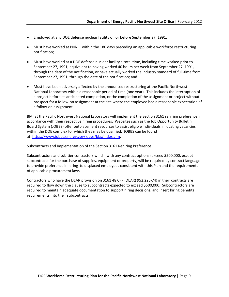- Employed at any DOE defense nuclear facility on or before September 27, 1991;
- Must have worked at PNNL within the 180 days preceding an applicable workforce restructuring notification;
- Must have worked at a DOE defense nuclear facility a total time, including time worked prior to September 27, 1991, equivalent to having worked 40 hours per week from September 27, 1991, through the date of the notification, or have actually worked the industry standard of full-time from September 27, 1991, through the date of the notification; and
- Must have been adversely affected by the announced restructuring at the Pacific Northwest National Laboratory within a reasonable period of time (one year). This includes the interruption of a project before its anticipated completion, or the completion of the assignment or project without prospect for a follow-on assignment at the site where the employee had a reasonable expectation of a follow-on assignment.

BMI at the Pacific Northwest National Laboratory will implement the Section 3161 rehiring preference in accordance with their respective hiring procedures. Websites such as the Job Opportunity Bulletin Board System (JOBBS) offer outplacement resources to assist eligible individuals in locating vacancies within the DOE complex for which they may be qualified. JOBBS can be found at: [https://www.jobbs.energy.gov/jobbs/bbs/index.cfm.](https://www.jobbs.energy.gov/jobbs/bbs/index.cfm)

#### Subcontracts and Implementation of the Section 3161 Rehiring Preference

Subcontractors and sub-tier contractors which (with any contract options) exceed \$500,000, except subcontracts for the purchase of supplies, equipment or property, will be required by contract language to provide preference in hiring to displaced employees consistent with this Plan and the requirements of applicable procurement laws.

Contractors who have the DEAR provision on 3161 48 CFR (DEAR) 952.226-74) in their contracts are required to flow down the clause to subcontracts expected to exceed \$500,000. Subcontractors are required to maintain adequate documentation to support hiring decisions, and insert hiring benefits requirements into their subcontracts.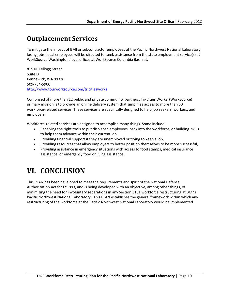# **Outplacement Services**

To mitigate the impact of BMI or subcontractor employees at the Pacific Northwest National Laboratory losing jobs, local employees will be directed to seek assistance from the state employment service(s) at WorkSource Washington; local offices at WorkSource Columbia Basin at:

815 N. Kellogg Street Suite D Kennewick, WA 99336 509-734-5900 [http://www.tourworksource.com/tricitiesworks](http://www.tourworksource.com/tricitiesworks/index.cfm?regid=%22%2F%40%20%20%0A&fwnavid=%22%2F%408%20%0A&navMode=%28%3FT%3D%3A%28Y%3EJ%3B1%5C%20%0A)

Comprised of more than 12 public and private community partners, Tri-Cities Works' (WorkSource) primary mission is to provide an online delivery system that simplifies access to more than 50 workforce-related services. These services are specifically designed to help job seekers, workers, and employers.

Workforce-related services are designed to accomplish many things. Some include:

- Receiving the right tools to put displaced employees back into the workforce, or building skills to help them advance within their current job,
- Providing financial support if they are unemployed or trying to keep a job,
- Providing resources that allow employers to better position themselves to be more successful,
- Providing assistance in emergency situations with access to food stamps, medical insurance assistance, or emergency food or living assistance.

# **VI. CONCLUSION**

This PLAN has been developed to meet the requirements and spirit of the National Defense Authorization Act for FY1993, and is being developed with an objective, among other things, of minimizing the need for involuntary separations in any Section 3161 workforce restructuring at BMI's Pacific Northwest National Laboratory. This PLAN establishes the general framework within which any restructuring of the workforce at the Pacific Northwest National Laboratory would be implemented.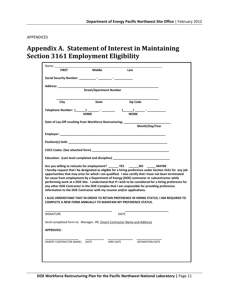#### <span id="page-12-0"></span>APPENDICES

### **Appendix A. Statement of Interest in Maintaining Section 3161 Employment Eligibility**

| Name: when the contract of the contract of the contract of the contract of the contract of the contract of the                                                                                                                                                                                                                                                                                                                                                                                                                                                                                                                                                                           |             |             |                 |  |  |  |  |  |
|------------------------------------------------------------------------------------------------------------------------------------------------------------------------------------------------------------------------------------------------------------------------------------------------------------------------------------------------------------------------------------------------------------------------------------------------------------------------------------------------------------------------------------------------------------------------------------------------------------------------------------------------------------------------------------------|-------------|-------------|-----------------|--|--|--|--|--|
| <b>FIRST</b>                                                                                                                                                                                                                                                                                                                                                                                                                                                                                                                                                                                                                                                                             | Middle      | Last        |                 |  |  |  |  |  |
|                                                                                                                                                                                                                                                                                                                                                                                                                                                                                                                                                                                                                                                                                          |             |             |                 |  |  |  |  |  |
|                                                                                                                                                                                                                                                                                                                                                                                                                                                                                                                                                                                                                                                                                          |             |             |                 |  |  |  |  |  |
| <b>Street/Apartment Number</b>                                                                                                                                                                                                                                                                                                                                                                                                                                                                                                                                                                                                                                                           |             |             |                 |  |  |  |  |  |
| <b>City</b>                                                                                                                                                                                                                                                                                                                                                                                                                                                                                                                                                                                                                                                                              | State       |             | Zip Code        |  |  |  |  |  |
|                                                                                                                                                                                                                                                                                                                                                                                                                                                                                                                                                                                                                                                                                          |             |             |                 |  |  |  |  |  |
| Telephone Number: (_____) _______ - _________  (_____) ______ - ________________                                                                                                                                                                                                                                                                                                                                                                                                                                                                                                                                                                                                         | <b>HOME</b> | <b>WORK</b> |                 |  |  |  |  |  |
|                                                                                                                                                                                                                                                                                                                                                                                                                                                                                                                                                                                                                                                                                          |             |             |                 |  |  |  |  |  |
| Date of Lay-Off resulting from Workforce Restructuring: _______________<br>Month/Day/Year                                                                                                                                                                                                                                                                                                                                                                                                                                                                                                                                                                                                |             |             |                 |  |  |  |  |  |
|                                                                                                                                                                                                                                                                                                                                                                                                                                                                                                                                                                                                                                                                                          |             |             |                 |  |  |  |  |  |
|                                                                                                                                                                                                                                                                                                                                                                                                                                                                                                                                                                                                                                                                                          |             |             |                 |  |  |  |  |  |
|                                                                                                                                                                                                                                                                                                                                                                                                                                                                                                                                                                                                                                                                                          |             |             |                 |  |  |  |  |  |
|                                                                                                                                                                                                                                                                                                                                                                                                                                                                                                                                                                                                                                                                                          |             |             |                 |  |  |  |  |  |
| Education: (Last level completed and discipline) _______________________________                                                                                                                                                                                                                                                                                                                                                                                                                                                                                                                                                                                                         |             |             |                 |  |  |  |  |  |
| Are you willing to relocate for employment? ________ YES ________ NO _______ MAYBE<br>I hereby request that I be designated as eligible for a hiring preference under Section 3161 for any job<br>opportunities that may arise for which I am qualified. I also certify that I have not been terminated<br>for cause from employment by a Department of Energy (DOE) contractor or subcontractor while<br>performing work at a DOE Site. I understand that if I wish to be considered for a hiring preference for<br>any other DOE Contractor in the DOE Complex that I am responsible for providing preference<br>information to the DOE Contractor with my resume and/or applications. |             |             |                 |  |  |  |  |  |
| I ALSO UNDERSTAND THAT IN ORDER TO RETAIN PREFERENCE IN HIRING STATUS, I AM REQUIRED TO<br><b>COMPLETE A NEW FORM ANNUALLY TO MAINTAIN MY PREFERENCE STATUS.</b>                                                                                                                                                                                                                                                                                                                                                                                                                                                                                                                         |             |             |                 |  |  |  |  |  |
| <b>SIGNATURE</b>                                                                                                                                                                                                                                                                                                                                                                                                                                                                                                                                                                                                                                                                         |             | DATE        |                 |  |  |  |  |  |
| Send completed form to: Manager, HR, (Insert Contractor Name and Address)                                                                                                                                                                                                                                                                                                                                                                                                                                                                                                                                                                                                                |             |             |                 |  |  |  |  |  |
| <b>APPROVED:</b>                                                                                                                                                                                                                                                                                                                                                                                                                                                                                                                                                                                                                                                                         |             |             |                 |  |  |  |  |  |
| (INSERT CONTRACTOR NAME)                                                                                                                                                                                                                                                                                                                                                                                                                                                                                                                                                                                                                                                                 | <b>DATE</b> | HIRE DATE   | SEPARATION DATE |  |  |  |  |  |
|                                                                                                                                                                                                                                                                                                                                                                                                                                                                                                                                                                                                                                                                                          |             |             |                 |  |  |  |  |  |
|                                                                                                                                                                                                                                                                                                                                                                                                                                                                                                                                                                                                                                                                                          |             |             |                 |  |  |  |  |  |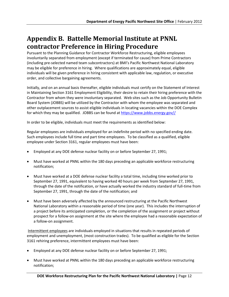# <span id="page-13-0"></span>**Appendix B. Battelle Memorial Institute at PNNL contractor Preference in Hiring Procedure**

Pursuant to the Planning Guidance for Contractor Workforce Restructuring, eligible employees involuntarily separated from employment (except if terminated for cause) from Prime Contractors (including pre-selected named team subcontractors) at BMI's Pacific Northwest National Laboratory may be eligible for preference in hiring. Where qualifications are approximately equal, eligible individuals will be given preference in hiring consistent with applicable law, regulation, or executive order, and collective bargaining agreements.

Initially, and on an annual basis thereafter, eligible individuals must certify on the Statement of Interest in Maintaining Section 3161 Employment Eligibility, their desire to retain their hiring preference with the Contractor from whom they were involuntary separated. Web sites such as the Job Opportunity Bulletin Board System (JOBBS) will be utilized by the Contractor with whom the employee was separated and other outplacement sources to assist eligible individuals in locating vacancies within the DOE Complex for which they may be qualified. JOBBS can be found a[t https://www.jobbs.energy.gov//](https://www.jobbs.energy.gov/)

In order to be eligible, individuals must meet the requirements as identified below:

Regular employees are individuals employed for an indefinite period with no specified ending date. Such employees include full time and part time employees. To be classified as a qualified, eligible employee under Section 3161, regular employees must have been:

- Employed at any DOE defense nuclear facility on or before September 27, 1991;
- Must have worked at PNNL within the 180 days preceding an applicable workforce restructuring notification;
- Must have worked at a DOE defense nuclear facility a total time, including time worked prior to September 27, 1991, equivalent to having worked 40 hours per week from September 27, 1991, through the date of the notification, or have actually worked the industry standard of full-time from September 27, 1991, through the date of the notification; and
- Must have been adversely affected by the announced restructuring at the Pacific Northwest National Laboratory within a reasonable period of time (one year). This includes the interruption of a project before its anticipated completion, or the completion of the assignment or project without prospect for a follow-on assignment at the site where the employee had a reasonable expectation of a follow-on assignment.

Intermittent employees are individuals employed in situations that results in repeated periods of employment and unemployment, (most construction trades). To be qualified as eligible for the Section 3161 rehiring preference, intermittent employees must have been:

- Employed at any DOE defense nuclear facility on or before September 27, 1991;
- Must have worked at PNNL within the 180 days preceding an applicable workforce restructuring notification;